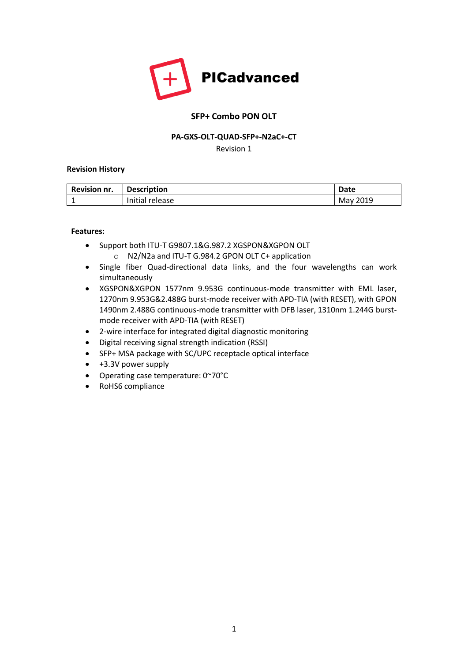

# **SFP+ Combo PON OLT**

### **PA-GXS-OLT-QUAD-SFP+-N2aC+-CT**

Revision 1

### **Revision History**

| <b>Revision nr.</b> | <b>Description</b> | <b>Date</b> |
|---------------------|--------------------|-------------|
|                     | Initial release    | May 2019    |

### **Features:**

- Support both ITU-T G9807.1&G.987.2 XGSPON&XGPON OLT o N2/N2a and ITU-T G.984.2 GPON OLT C+ application
- Single fiber Quad-directional data links, and the four wavelengths can work simultaneously
- XGSPON&XGPON 1577nm 9.953G continuous-mode transmitter with EML laser, 1270nm 9.953G&2.488G burst-mode receiver with APD-TIA (with RESET), with GPON 1490nm 2.488G continuous-mode transmitter with DFB laser, 1310nm 1.244G burstmode receiver with APD-TIA (with RESET)
- 2-wire interface for integrated digital diagnostic monitoring
- Digital receiving signal strength indication (RSSI)
- SFP+ MSA package with SC/UPC receptacle optical interface
- +3.3V power supply
- Operating case temperature: 0~70°C
- RoHS6 compliance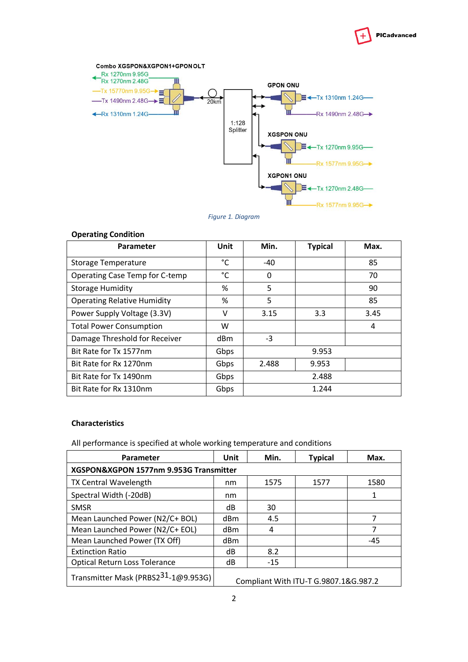



#### *Figure 1. Diagram*

| <b>Operating Condition</b>         |      |                |                |      |
|------------------------------------|------|----------------|----------------|------|
| Parameter                          | Unit | Min.           | <b>Typical</b> | Max. |
| Storage Temperature                | °C   | -40            |                | 85   |
| Operating Case Temp for C-temp     | °C   | 0              |                | 70   |
| <b>Storage Humidity</b>            | %    | 5              |                | 90   |
| <b>Operating Relative Humidity</b> | %    | 5              |                | 85   |
| Power Supply Voltage (3.3V)        | v    | 3.15           | 3.3            | 3.45 |
| <b>Total Power Consumption</b>     | W    |                |                | 4    |
| Damage Threshold for Receiver      | dBm  | $-3$           |                |      |
| Bit Rate for Tx 1577nm             | Gbps | 9.953          |                |      |
| Bit Rate for Rx 1270nm             | Gbps | 2.488<br>9.953 |                |      |
| Bit Rate for Tx 1490nm             | Gbps | 2.488          |                |      |
| Bit Rate for Rx 1310nm             | Gbps | 1.244          |                |      |

#### **Characteristics**

All performance is specified at whole working temperature and conditions

| Parameter                                        | Unit      | Min.  | <b>Typical</b>                        | Max.  |
|--------------------------------------------------|-----------|-------|---------------------------------------|-------|
| XGSPON&XGPON 1577nm 9.953G Transmitter           |           |       |                                       |       |
| TX Central Wavelength                            | nm        | 1575  | 1577                                  | 1580  |
| Spectral Width (-20dB)                           | nm        |       |                                       | 1     |
| <b>SMSR</b>                                      | dB        | 30    |                                       |       |
| Mean Launched Power (N2/C+ BOL)                  | dBm       | 4.5   |                                       | 7     |
| Mean Launched Power (N2/C+ EOL)                  | dBm       | 4     |                                       | 7     |
| Mean Launched Power (TX Off)                     | dBm       |       |                                       | $-45$ |
| <b>Extinction Ratio</b>                          | dB<br>8.2 |       |                                       |       |
| <b>Optical Return Loss Tolerance</b>             | dB        | $-15$ |                                       |       |
| Transmitter Mask (PRBS2 <sup>31</sup> -1@9.953G) |           |       | Compliant With ITU-T G.9807.1&G.987.2 |       |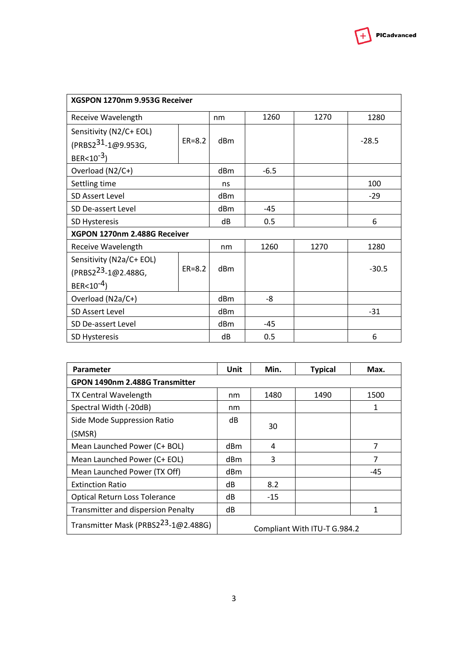| XGSPON 1270nm 9.953G Receiver   |            |                 |        |      |         |
|---------------------------------|------------|-----------------|--------|------|---------|
| Receive Wavelength              |            | nm              | 1260   | 1270 | 1280    |
| Sensitivity (N2/C+ EOL)         |            |                 |        |      |         |
| (PRBS2 <sup>31</sup> -1@9.953G, | $ER=8.2$   | dBm             |        |      | $-28.5$ |
| BER<10 <sup>-3</sup> )          |            |                 |        |      |         |
| Overload (N2/C+)                |            | dBm             | $-6.5$ |      |         |
| Settling time                   |            | ns              |        |      | 100     |
| <b>SD Assert Level</b>          |            | d <sub>Bm</sub> |        |      | $-29$   |
| SD De-assert Level              |            | dBm             | $-45$  |      |         |
| SD Hysteresis                   |            | dB              | 0.5    |      | 6       |
| XGPON 1270nm 2.488G Receiver    |            |                 |        |      |         |
| Receive Wavelength              |            | nm              | 1260   | 1270 | 1280    |
| Sensitivity (N2a/C+ EOL)        |            |                 |        |      |         |
| (PRBS2 <sup>23</sup> -1@2.488G, | $ER = 8.2$ | dBm             |        |      | $-30.5$ |
| BER<10 <sup>-4</sup> )          |            |                 |        |      |         |
| Overload (N2a/C+)               |            | dBm             | -8     |      |         |
| <b>SD Assert Level</b>          |            | dBm             |        |      | $-31$   |
| SD De-assert Level              |            | dBm             | $-45$  |      |         |
| <b>SD Hysteresis</b>            |            | dB              | 0.5    |      | 6       |

| <b>Parameter</b>                           | Unit            | Min.  | <b>Typical</b>               | Max. |
|--------------------------------------------|-----------------|-------|------------------------------|------|
| GPON 1490nm 2.488G Transmitter             |                 |       |                              |      |
| <b>TX Central Wavelength</b>               | nm              | 1480  | 1490                         | 1500 |
| Spectral Width (-20dB)                     | nm              |       |                              | 1    |
| Side Mode Suppression Ratio                | dB              |       |                              |      |
| (SMSR)                                     | 30              |       |                              |      |
| Mean Launched Power (C+ BOL)               | dB <sub>m</sub> | 4     |                              | 7    |
| Mean Launched Power (C+ EOL)               | dBm             | 3     |                              | 7    |
| Mean Launched Power (TX Off)               | dBm             |       |                              | -45  |
| <b>Extinction Ratio</b>                    | dB              | 8.2   |                              |      |
| <b>Optical Return Loss Tolerance</b>       | dB              | $-15$ |                              |      |
| <b>Transmitter and dispersion Penalty</b>  | dB              |       |                              | 1    |
| Transmitter Mask (PRBS $2^{23}$ -1@2.488G) |                 |       | Compliant With ITU-T G.984.2 |      |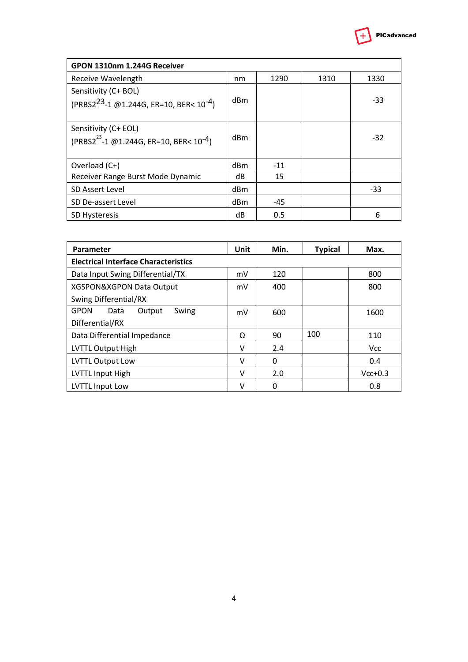

| GPON 1310nm 1.244G Receiver                                                             |     |       |      |       |
|-----------------------------------------------------------------------------------------|-----|-------|------|-------|
| Receive Wavelength                                                                      | nm  | 1290  | 1310 | 1330  |
| Sensitivity (C+ BOL)<br>(PRBS2 <sup>23</sup> -1 @1.244G, ER=10, BER< 10 <sup>-4</sup> ) | dBm |       |      | $-33$ |
| Sensitivity (C+ EOL)<br>$(PRBS2^{23} - 1 \oslash 1.244G, ER=10, BER10^{-4})$            | dBm |       |      | $-32$ |
| Overload (C+)                                                                           | dBm | $-11$ |      |       |
| Receiver Range Burst Mode Dynamic                                                       | dB  | 15    |      |       |
| <b>SD Assert Level</b>                                                                  | dBm |       |      | $-33$ |
| SD De-assert Level                                                                      | dBm | -45   |      |       |
| <b>SD Hysteresis</b>                                                                    | dB  | 0.5   |      | 6     |

| Parameter                                   | Unit | Min. | <b>Typical</b> | Max.       |
|---------------------------------------------|------|------|----------------|------------|
| <b>Electrical Interface Characteristics</b> |      |      |                |            |
| Data Input Swing Differential/TX            | mV   | 120  |                | 800        |
| XGSPON&XGPON Data Output                    | mV   | 400  |                | 800        |
| <b>Swing Differential/RX</b>                |      |      |                |            |
| <b>GPON</b><br>Swing<br>Output<br>Data      | mV   | 600  |                | 1600       |
| Differential/RX                             |      |      |                |            |
| Data Differential Impedance                 | Ω    | 90   | 100            | 110        |
| LVTTL Output High                           | v    | 2.4  |                | <b>Vcc</b> |
| <b>LVTTL Output Low</b>                     | ν    | 0    |                | 0.4        |
| <b>LVTTL Input High</b>                     | v    | 2.0  |                | $Vcc+0.3$  |
| LVTTL Input Low                             | v    | 0    |                | 0.8        |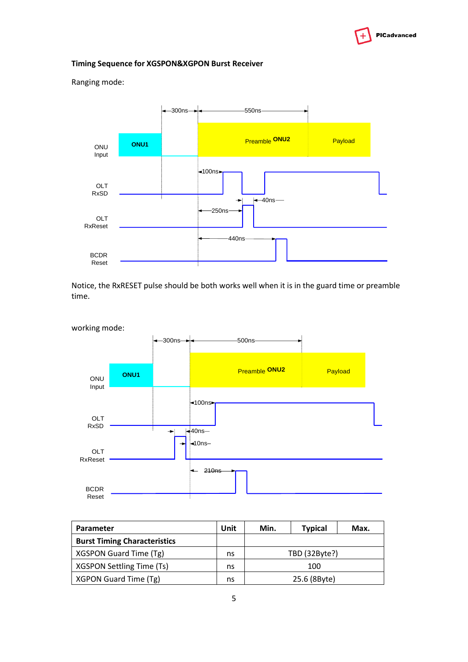

# **Timing Sequence for XGSPON&XGPON Burst Receiver**

ONU Input OLT RxSD OLT RxReset BCDR Reset 300ns 550ns  $\triangleleft$ 100ns 40ns  $-250$ ns 440ns **Preamble ONU2** Payload **Preamble ONU2** 

Notice, the RxRESET pulse should be both works well when it is in the guard time or preamble time.



| <b>Parameter</b>                    | Unit | Min. | <b>Typical</b> | Max. |
|-------------------------------------|------|------|----------------|------|
| <b>Burst Timing Characteristics</b> |      |      |                |      |
| XGSPON Guard Time (Tg)              | ns   |      | TBD (32Byte?)  |      |
| XGSPON Settling Time (Ts)           | ns   |      | 100            |      |
| XGPON Guard Time (Tg)               | ns   |      | 25.6 (8Byte)   |      |

Ranging mode: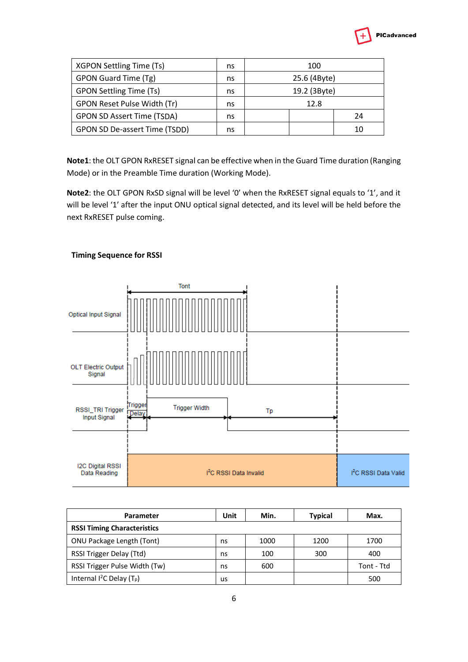

| XGPON Settling Time (Ts)          | ns | 100          |    |  |
|-----------------------------------|----|--------------|----|--|
| GPON Guard Time (Tg)              | ns | 25.6 (4Byte) |    |  |
| <b>GPON Settling Time (Ts)</b>    | ns | 19.2 (3Byte) |    |  |
| GPON Reset Pulse Width (Tr)       | ns | 12.8         |    |  |
| <b>GPON SD Assert Time (TSDA)</b> | ns |              | 24 |  |
| GPON SD De-assert Time (TSDD)     | ns |              | 10 |  |

**Note1**: the OLT GPON RxRESET signal can be effective when in the Guard Time duration (Ranging Mode) or in the Preamble Time duration (Working Mode).

**Note2**: the OLT GPON RxSD signal will be level '0' when the RxRESET signal equals to '1', and it will be level '1' after the input ONU optical signal detected, and its level will be held before the next RxRESET pulse coming.



### **Timing Sequence for RSSI**

| Parameter                               | Unit | Min. | <b>Typical</b> | Max.       |
|-----------------------------------------|------|------|----------------|------------|
| <b>RSSI Timing Characteristics</b>      |      |      |                |            |
| ONU Package Length (Tont)               | ns   | 1000 | 1200           | 1700       |
| RSSI Trigger Delay (Ttd)                | ns   | 100  | 300            | 400        |
| RSSI Trigger Pulse Width (Tw)           | ns   | 600  |                | Tont - Ttd |
| Internal $I^2C$ Delay (T <sub>p</sub> ) | us   |      |                | 500        |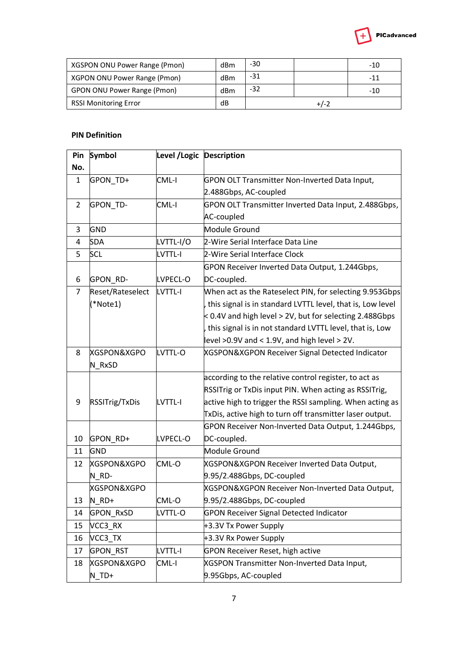

| XGSPON ONU Power Range (Pmon)      | dBm | -30 |        | -10 |
|------------------------------------|-----|-----|--------|-----|
| XGPON ONU Power Range (Pmon)       | dBm | -31 |        | -11 |
| <b>GPON ONU Power Range (Pmon)</b> | dBm | -32 |        | -10 |
| <b>RSSI Monitoring Error</b>       | dB  |     | $+/-2$ |     |

## **PIN Definition**

| Pin          | Symbol           | Level / Logic Description |                                                             |
|--------------|------------------|---------------------------|-------------------------------------------------------------|
| No.          |                  |                           |                                                             |
| $\mathbf{1}$ | GPON_TD+         | CML-I                     | GPON OLT Transmitter Non-Inverted Data Input,               |
|              |                  |                           | 2.488Gbps, AC-coupled                                       |
| 2            | GPON_TD-         | CML-I                     | GPON OLT Transmitter Inverted Data Input, 2.488Gbps,        |
|              |                  |                           | AC-coupled                                                  |
| 3            | GND              |                           | Module Ground                                               |
| 4            | <b>SDA</b>       | LVTTL-I/O                 | 2-Wire Serial Interface Data Line                           |
| 5            | <b>SCL</b>       | <b>LVTTL-I</b>            | 2-Wire Serial Interface Clock                               |
|              |                  |                           | GPON Receiver Inverted Data Output, 1.244Gbps,              |
| 6            | GPON_RD-         | LVPECL-O                  | DC-coupled.                                                 |
| 7            | Reset/Rateselect | <b>LVTTL-I</b>            | When act as the Rateselect PIN, for selecting 9.953Gbps     |
|              | (*Note1)         |                           | this signal is in standard LVTTL level, that is, Low level  |
|              |                  |                           | $<$ 0.4V and high level $>$ 2V, but for selecting 2.488Gbps |
|              |                  |                           | this signal is in not standard LVTTL level, that is, Low    |
|              |                  |                           | level $>0.9V$ and $< 1.9V$ , and high level $> 2V$ .        |
| 8            | XGSPON&XGPO      | LVTTL-O                   | XGSPON&XGPON Receiver Signal Detected Indicator             |
|              | N RxSD           |                           |                                                             |
|              |                  |                           | according to the relative control register, to act as       |
|              |                  |                           | RSSITrig or TxDis input PIN. When acting as RSSITrig,       |
| 9            | RSSITrig/TxDis   | <b>LVTTL-I</b>            | active high to trigger the RSSI sampling. When acting as    |
|              |                  |                           | TxDis, active high to turn off transmitter laser output.    |
|              |                  |                           | GPON Receiver Non-Inverted Data Output, 1.244Gbps,          |
| 10           | GPON_RD+         | LVPECL-O                  | DC-coupled.                                                 |
| 11           | GND              |                           | Module Ground                                               |
| 12           | XGSPON&XGPO      | CML-O                     | XGSPON&XGPON Receiver Inverted Data Output,                 |
|              | N_RD-            |                           | 9.95/2.488Gbps, DC-coupled                                  |
|              | XGSPON&XGPO      |                           | XGSPON&XGPON Receiver Non-Inverted Data Output,             |
| 13           | N_RD+            | CML-O                     | 9.95/2.488Gbps, DC-coupled                                  |
| 14           | GPON_RxSD        | LVTTL-O                   | <b>GPON Receiver Signal Detected Indicator</b>              |
| 15           | VCC3_RX          |                           | +3.3V Tx Power Supply                                       |
| 16           | VCC3 TX          |                           | +3.3V Rx Power Supply                                       |
| 17           | <b>GPON RST</b>  | <b>LVTTL-I</b>            | <b>GPON Receiver Reset, high active</b>                     |
| 18           | XGSPON&XGPO      | CML-I                     | XGSPON Transmitter Non-Inverted Data Input,                 |
|              | $N$ _TD+         |                           | 9.95Gbps, AC-coupled                                        |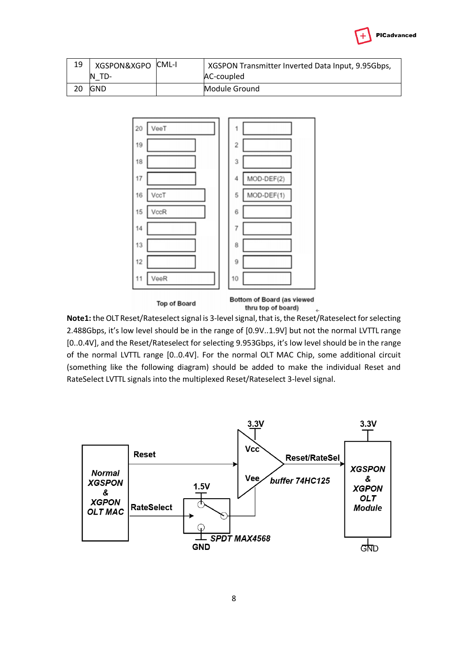

| 19 | XGSPON&XGPO CML-I | XGSPON Transmitter Inverted Data Input, 9.95Gbps, |
|----|-------------------|---------------------------------------------------|
|    | N<br>TD-          | AC-coupled                                        |
|    | <b>GND</b>        | Module Ground                                     |



**Note1:** the OLT Reset/Rateselect signal is 3-level signal, that is, the Reset/Rateselect for selecting 2.488Gbps, it's low level should be in the range of [0.9V..1.9V] but not the normal LVTTL range [0..0.4V], and the Reset/Rateselect for selecting 9.953Gbps, it's low level should be in the range of the normal LVTTL range [0..0.4V]. For the normal OLT MAC Chip, some additional circuit (something like the following diagram) should be added to make the individual Reset and RateSelect LVTTL signals into the multiplexed Reset/Rateselect 3-level signal.

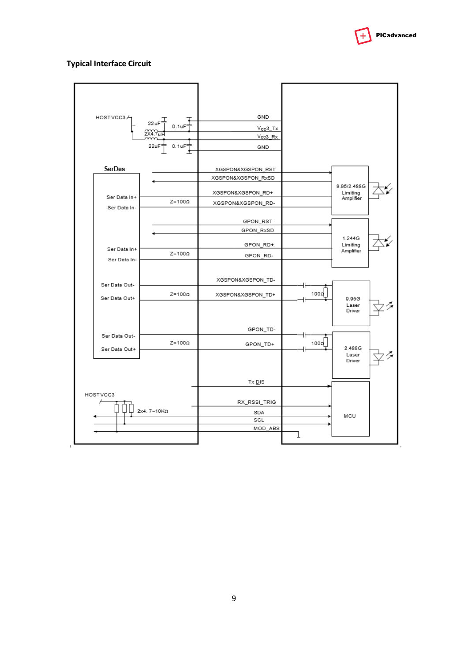

### **Typical Interface Circuit**

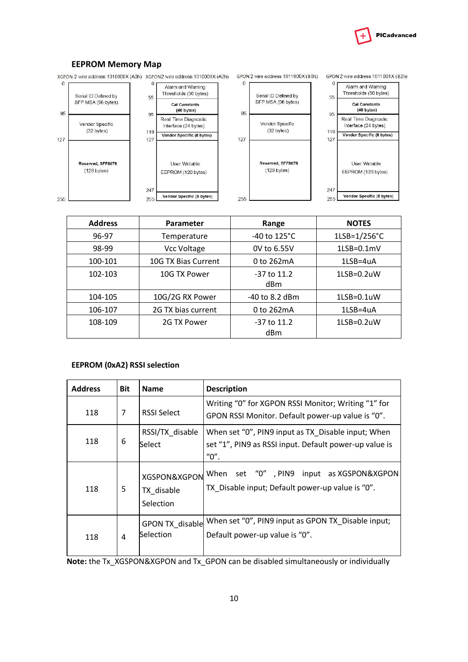

#### **EEPROM Memory Map**



| <b>Address</b>         | Parameter           | Range                  | <b>NOTES</b>          |
|------------------------|---------------------|------------------------|-----------------------|
| 96-97                  | Temperature         | -40 to 125°C           | $1LSB=1/256^{\circ}C$ |
| 98-99                  | Vcc Voltage         | 0V to 6.55V            | $1LSB=0.1mV$          |
| 100-101                | 10G TX Bias Current | 0 to 262mA             | 1LSB=4uA              |
| 102-103                | 10G TX Power        | $-37$ to $11.2$<br>dBm | $1LSB=0.2uW$          |
| 104-105                | 10G/2G RX Power     | -40 to 8.2 dBm         | $1LSB=0.1uW$          |
| 106-107                | 2G TX bias current  |                        | $1LSB = 4uA$          |
| 108-109<br>2G TX Power |                     | $-37$ to $11.2$<br>dBm | $1LSB=0.2uW$          |

### **EEPROM (0xA2) RSSI selection**

| <b>Address</b> | <b>Bit</b> | <b>Name</b>                             | <b>Description</b>                                                                                                   |
|----------------|------------|-----------------------------------------|----------------------------------------------------------------------------------------------------------------------|
| 118            | 7          | <b>RSSI Select</b>                      | Writing "0" for XGPON RSSI Monitor; Writing "1" for<br>GPON RSSI Monitor. Default power-up value is "0".             |
| 118            | 6          | RSSI/TX disable<br>Select               | When set "0", PIN9 input as TX_Disable input; When<br>set "1", PIN9 as RSSI input. Default power-up value is<br>"0". |
| 118            | 5          | XGSPON&XGPON<br>TX_disable<br>Selection | When set "0", PIN9 input as XGSPON&XGPON<br>TX Disable input; Default power-up value is "0".                         |
| 118            | 4          | <b>GPON TX disable</b><br>Selection     | When set "0", PIN9 input as GPON TX Disable input;<br>Default power-up value is "0".                                 |

**Note:** the Tx\_XGSPON&XGPON and Tx\_GPON can be disabled simultaneously or individually